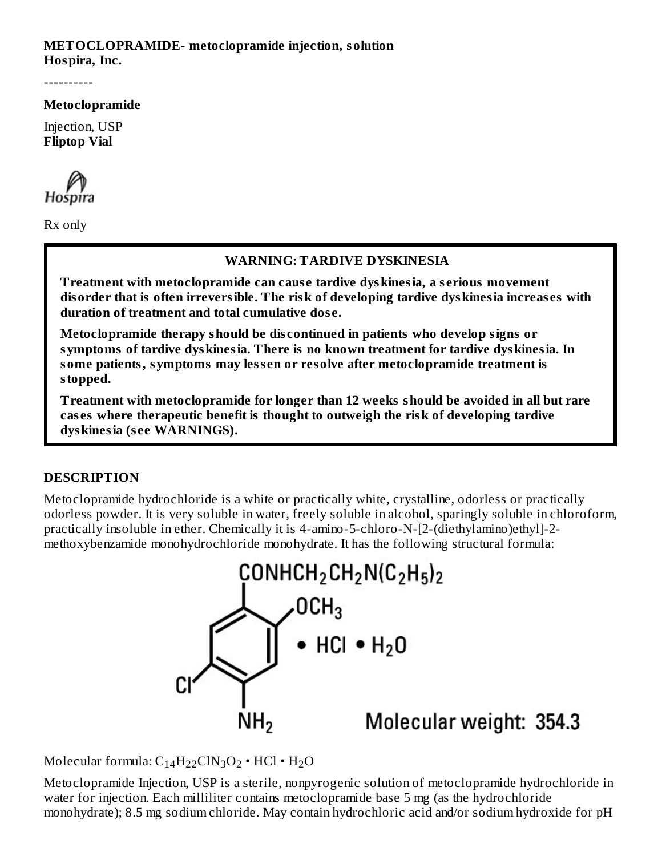#### **METOCLOPRAMIDE- metoclopramide injection, solution Hospira, Inc.**

----------

#### **Metoclopramide**

Injection, USP **Fliptop Vial**

Hospira

Rx only

### **WARNING: TARDIVE DYSKINESIA**

**Treatment with metoclopramide can caus e tardive dyskinesia, a s erious movement disorder that is often irreversible. The risk of developing tardive dyskinesia increas es with duration of treatment and total cumulative dos e.**

**Metoclopramide therapy should be dis continued in patients who develop signs or symptoms of tardive dyskinesia. There is no known treatment for tardive dyskinesia. In some patients, symptoms may less en or resolve after metoclopramide treatment is stopped.**

**Treatment with metoclopramide for longer than 12 weeks should be avoided in all but rare cas es where therapeutic benefit is thought to outweigh the risk of developing tardive dyskinesia (s ee WARNINGS).**

### **DESCRIPTION**

Metoclopramide hydrochloride is a white or practically white, crystalline, odorless or practically odorless powder. It is very soluble in water, freely soluble in alcohol, sparingly soluble in chloroform, practically insoluble in ether. Chemically it is 4-amino-5-chloro-N-[2-(diethylamino)ethyl]-2 methoxybenzamide monohydrochloride monohydrate. It has the following structural formula:



Molecular formula:  $C_{14}H_{22}CIN_3O_2 \cdot HCl \cdot H_2O$ 

Metoclopramide Injection, USP is a sterile, nonpyrogenic solution of metoclopramide hydrochloride in water for injection. Each milliliter contains metoclopramide base 5 mg (as the hydrochloride monohydrate); 8.5 mg sodium chloride. May contain hydrochloric acid and/or sodium hydroxide for pH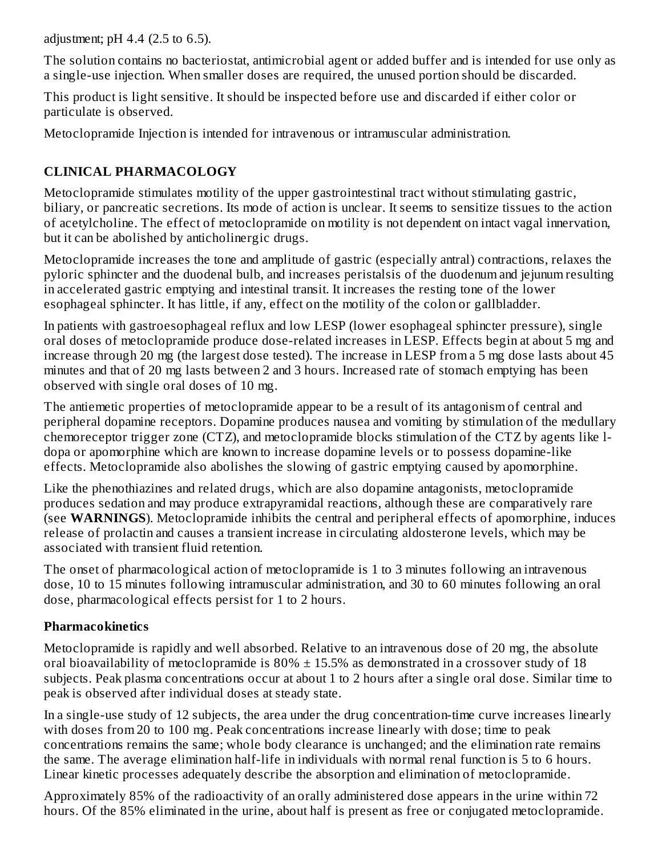adjustment; pH 4.4 (2.5 to 6.5).

The solution contains no bacteriostat, antimicrobial agent or added buffer and is intended for use only as a single-use injection. When smaller doses are required, the unused portion should be discarded.

This product is light sensitive. It should be inspected before use and discarded if either color or particulate is observed.

Metoclopramide Injection is intended for intravenous or intramuscular administration.

## **CLINICAL PHARMACOLOGY**

Metoclopramide stimulates motility of the upper gastrointestinal tract without stimulating gastric, biliary, or pancreatic secretions. Its mode of action is unclear. It seems to sensitize tissues to the action of acetylcholine. The effect of metoclopramide on motility is not dependent on intact vagal innervation, but it can be abolished by anticholinergic drugs.

Metoclopramide increases the tone and amplitude of gastric (especially antral) contractions, relaxes the pyloric sphincter and the duodenal bulb, and increases peristalsis of the duodenum and jejunum resulting in accelerated gastric emptying and intestinal transit. It increases the resting tone of the lower esophageal sphincter. It has little, if any, effect on the motility of the colon or gallbladder.

In patients with gastroesophageal reflux and low LESP (lower esophageal sphincter pressure), single oral doses of metoclopramide produce dose-related increases in LESP. Effects begin at about 5 mg and increase through 20 mg (the largest dose tested). The increase in LESP from a 5 mg dose lasts about 45 minutes and that of 20 mg lasts between 2 and 3 hours. Increased rate of stomach emptying has been observed with single oral doses of 10 mg.

The antiemetic properties of metoclopramide appear to be a result of its antagonism of central and peripheral dopamine receptors. Dopamine produces nausea and vomiting by stimulation of the medullary chemoreceptor trigger zone (CTZ), and metoclopramide blocks stimulation of the CTZ by agents like ldopa or apomorphine which are known to increase dopamine levels or to possess dopamine-like effects. Metoclopramide also abolishes the slowing of gastric emptying caused by apomorphine.

Like the phenothiazines and related drugs, which are also dopamine antagonists, metoclopramide produces sedation and may produce extrapyramidal reactions, although these are comparatively rare (see **WARNINGS**). Metoclopramide inhibits the central and peripheral effects of apomorphine, induces release of prolactin and causes a transient increase in circulating aldosterone levels, which may be associated with transient fluid retention.

The onset of pharmacological action of metoclopramide is 1 to 3 minutes following an intravenous dose, 10 to 15 minutes following intramuscular administration, and 30 to 60 minutes following an oral dose, pharmacological effects persist for 1 to 2 hours.

## **Pharmacokinetics**

Metoclopramide is rapidly and well absorbed. Relative to an intravenous dose of 20 mg, the absolute oral bioavailability of metoclopramide is  $80\% \pm 15.5\%$  as demonstrated in a crossover study of 18 subjects. Peak plasma concentrations occur at about 1 to 2 hours after a single oral dose. Similar time to peak is observed after individual doses at steady state.

In a single-use study of 12 subjects, the area under the drug concentration-time curve increases linearly with doses from 20 to 100 mg. Peak concentrations increase linearly with dose; time to peak concentrations remains the same; whole body clearance is unchanged; and the elimination rate remains the same. The average elimination half-life in individuals with normal renal function is 5 to 6 hours. Linear kinetic processes adequately describe the absorption and elimination of metoclopramide.

Approximately 85% of the radioactivity of an orally administered dose appears in the urine within 72 hours. Of the 85% eliminated in the urine, about half is present as free or conjugated metoclopramide.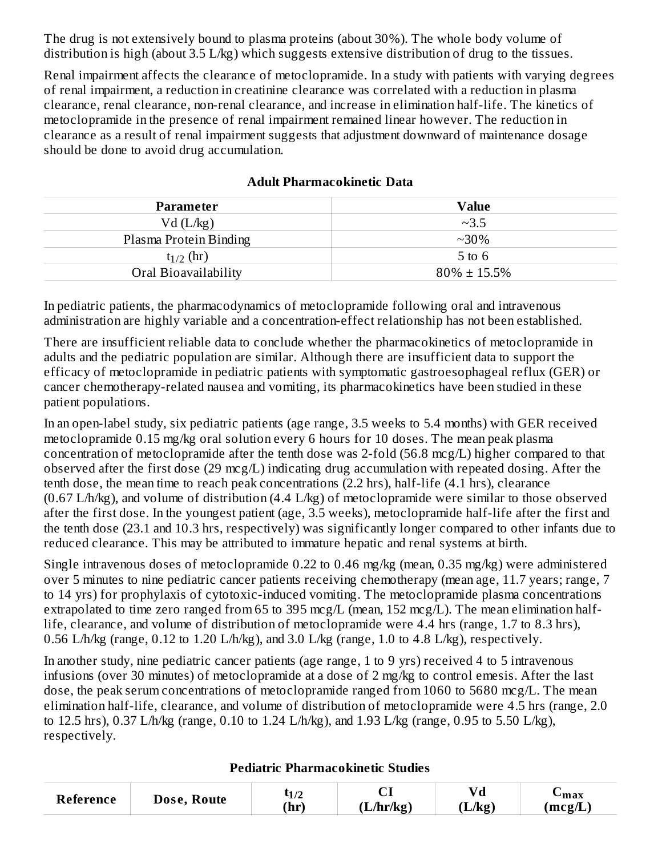The drug is not extensively bound to plasma proteins (about 30%). The whole body volume of distribution is high (about 3.5 L/kg) which suggests extensive distribution of drug to the tissues.

Renal impairment affects the clearance of metoclopramide. In a study with patients with varying degrees of renal impairment, a reduction in creatinine clearance was correlated with a reduction in plasma clearance, renal clearance, non-renal clearance, and increase in elimination half-life. The kinetics of metoclopramide in the presence of renal impairment remained linear however. The reduction in clearance as a result of renal impairment suggests that adjustment downward of maintenance dosage should be done to avoid drug accumulation.

| Parameter              | <b>Value</b>      |
|------------------------|-------------------|
| Vd(L/kg)               | $\sim$ 3.5        |
| Plasma Protein Binding | $\sim$ 30%        |
| $t_{1/2}$ (hr)         | $5$ to 6          |
| Oral Bioavailability   | $80\% \pm 15.5\%$ |

### **Adult Pharmacokinetic Data**

In pediatric patients, the pharmacodynamics of metoclopramide following oral and intravenous administration are highly variable and a concentration-effect relationship has not been established.

There are insufficient reliable data to conclude whether the pharmacokinetics of metoclopramide in adults and the pediatric population are similar. Although there are insufficient data to support the efficacy of metoclopramide in pediatric patients with symptomatic gastroesophageal reflux (GER) or cancer chemotherapy-related nausea and vomiting, its pharmacokinetics have been studied in these patient populations.

In an open-label study, six pediatric patients (age range, 3.5 weeks to 5.4 months) with GER received metoclopramide 0.15 mg/kg oral solution every 6 hours for 10 doses. The mean peak plasma concentration of metoclopramide after the tenth dose was 2-fold (56.8 mcg/L) higher compared to that observed after the first dose (29 mcg/L) indicating drug accumulation with repeated dosing. After the tenth dose, the mean time to reach peak concentrations (2.2 hrs), half-life (4.1 hrs), clearance (0.67 L/h/kg), and volume of distribution (4.4 L/kg) of metoclopramide were similar to those observed after the first dose. In the youngest patient (age, 3.5 weeks), metoclopramide half-life after the first and the tenth dose (23.1 and 10.3 hrs, respectively) was significantly longer compared to other infants due to reduced clearance. This may be attributed to immature hepatic and renal systems at birth.

Single intravenous doses of metoclopramide 0.22 to 0.46 mg/kg (mean, 0.35 mg/kg) were administered over 5 minutes to nine pediatric cancer patients receiving chemotherapy (mean age, 11.7 years; range, 7 to 14 yrs) for prophylaxis of cytotoxic-induced vomiting. The metoclopramide plasma concentrations extrapolated to time zero ranged from 65 to 395 mcg/L (mean, 152 mcg/L). The mean elimination halflife, clearance, and volume of distribution of metoclopramide were 4.4 hrs (range, 1.7 to 8.3 hrs), 0.56 L/h/kg (range, 0.12 to 1.20 L/h/kg), and 3.0 L/kg (range, 1.0 to 4.8 L/kg), respectively.

In another study, nine pediatric cancer patients (age range, 1 to 9 yrs) received 4 to 5 intravenous infusions (over 30 minutes) of metoclopramide at a dose of 2 mg/kg to control emesis. After the last dose, the peak serum concentrations of metoclopramide ranged from 1060 to 5680 mcg/L. The mean elimination half-life, clearance, and volume of distribution of metoclopramide were 4.5 hrs (range, 2.0 to 12.5 hrs), 0.37 L/h/kg (range, 0.10 to 1.24 L/h/kg), and 1.93 L/kg (range, 0.95 to 5.50 L/kg), respectively.

| Reference | Dose, Route | $\sqrt{2}$<br>∙⊥/∠<br>$({\bf hr})$ | $\sim$<br>ື<br>L/hr/kg'<br>$\mathbf{z}$ | $T$ .<br>'L/kg<br>ъ | $\mathbf{-max}$<br>(mcg/L |
|-----------|-------------|------------------------------------|-----------------------------------------|---------------------|---------------------------|
|-----------|-------------|------------------------------------|-----------------------------------------|---------------------|---------------------------|

#### **Pediatric Pharmacokinetic Studies**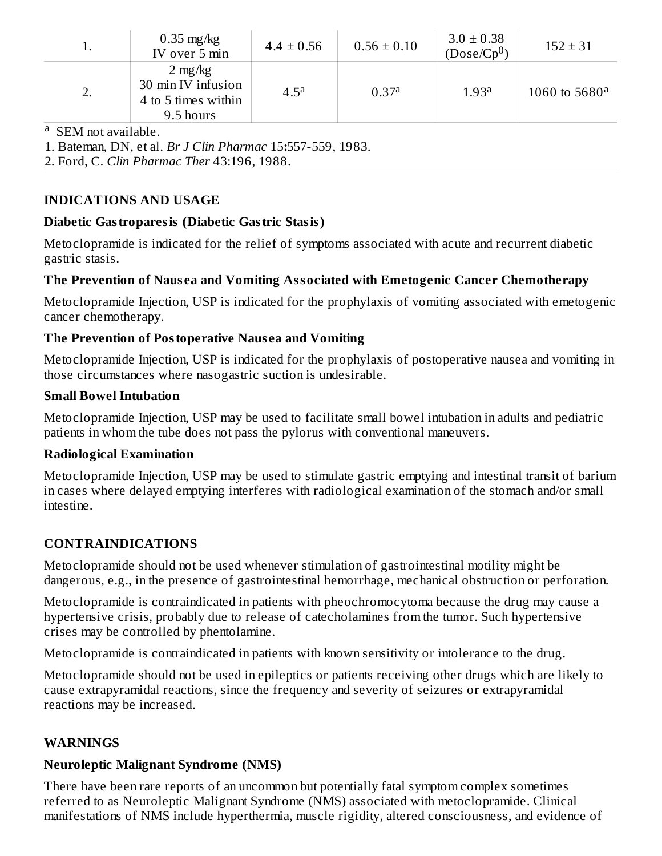|    | $0.35 \text{ mg/kg}$<br>IV over 5 min                                       | $4.4 \pm 0.56$   | $0.56 \pm 0.10$   | $3.0 \pm 0.38$<br>$(Dose/Cp^0)$ | $152 \pm 31$     |
|----|-----------------------------------------------------------------------------|------------------|-------------------|---------------------------------|------------------|
| 2. | $2 \text{ mg/kg}$<br>30 min IV infusion<br>4 to 5 times within<br>9.5 hours | 4.5 <sup>a</sup> | 0.37 <sup>a</sup> | 1.93 <sup>a</sup>               | 1060 to 5680 $a$ |

<sup>a</sup> SEM not available.

1. Bateman, DN, et al. *Br J Clin Pharmac* 15**:**557-559, 1983.

2. Ford, C. *Clin Pharmac Ther* 43:196, 1988.

### **INDICATIONS AND USAGE**

### **Diabetic Gastroparesis (Diabetic Gastric Stasis)**

Metoclopramide is indicated for the relief of symptoms associated with acute and recurrent diabetic gastric stasis.

### **The Prevention of Naus ea and Vomiting Associated with Emetogenic Cancer Chemotherapy**

Metoclopramide Injection, USP is indicated for the prophylaxis of vomiting associated with emetogenic cancer chemotherapy.

### **The Prevention of Postoperative Naus ea and Vomiting**

Metoclopramide Injection, USP is indicated for the prophylaxis of postoperative nausea and vomiting in those circumstances where nasogastric suction is undesirable.

### **Small Bowel Intubation**

Metoclopramide Injection, USP may be used to facilitate small bowel intubation in adults and pediatric patients in whom the tube does not pass the pylorus with conventional maneuvers.

### **Radiological Examination**

Metoclopramide Injection, USP may be used to stimulate gastric emptying and intestinal transit of barium in cases where delayed emptying interferes with radiological examination of the stomach and/or small intestine.

## **CONTRAINDICATIONS**

Metoclopramide should not be used whenever stimulation of gastrointestinal motility might be dangerous, e.g., in the presence of gastrointestinal hemorrhage, mechanical obstruction or perforation.

Metoclopramide is contraindicated in patients with pheochromocytoma because the drug may cause a hypertensive crisis, probably due to release of catecholamines from the tumor. Such hypertensive crises may be controlled by phentolamine.

Metoclopramide is contraindicated in patients with known sensitivity or intolerance to the drug.

Metoclopramide should not be used in epileptics or patients receiving other drugs which are likely to cause extrapyramidal reactions, since the frequency and severity of seizures or extrapyramidal reactions may be increased.

## **WARNINGS**

### **Neuroleptic Malignant Syndrome (NMS)**

There have been rare reports of an uncommon but potentially fatal symptom complex sometimes referred to as Neuroleptic Malignant Syndrome (NMS) associated with metoclopramide. Clinical manifestations of NMS include hyperthermia, muscle rigidity, altered consciousness, and evidence of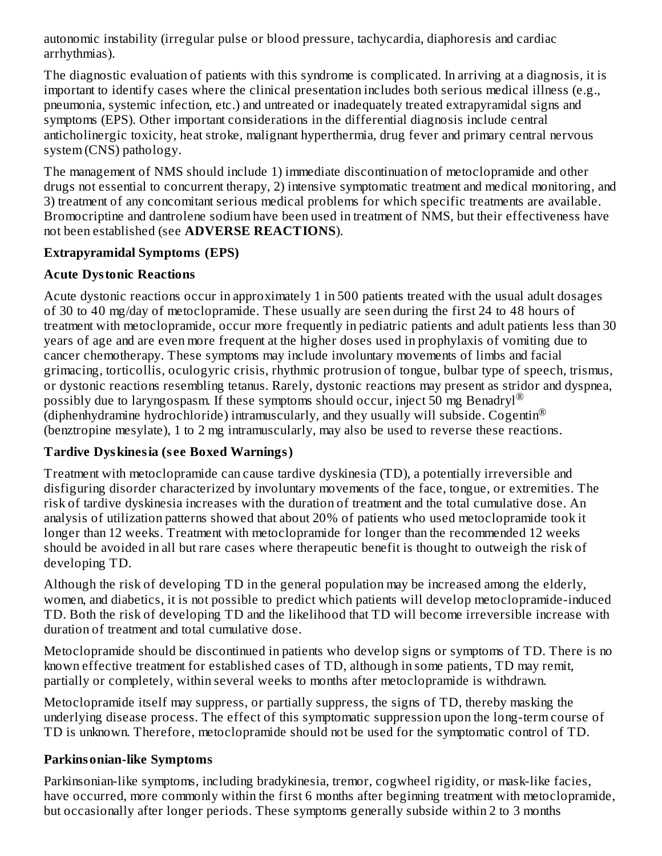autonomic instability (irregular pulse or blood pressure, tachycardia, diaphoresis and cardiac arrhythmias).

The diagnostic evaluation of patients with this syndrome is complicated. In arriving at a diagnosis, it is important to identify cases where the clinical presentation includes both serious medical illness (e.g., pneumonia, systemic infection, etc.) and untreated or inadequately treated extrapyramidal signs and symptoms (EPS). Other important considerations in the differential diagnosis include central anticholinergic toxicity, heat stroke, malignant hyperthermia, drug fever and primary central nervous system (CNS) pathology.

The management of NMS should include 1) immediate discontinuation of metoclopramide and other drugs not essential to concurrent therapy, 2) intensive symptomatic treatment and medical monitoring, and 3) treatment of any concomitant serious medical problems for which specific treatments are available. Bromocriptine and dantrolene sodium have been used in treatment of NMS, but their effectiveness have not been established (see **ADVERSE REACTIONS**).

### **Extrapyramidal Symptoms (EPS)**

## **Acute Dystonic Reactions**

Acute dystonic reactions occur in approximately 1 in 500 patients treated with the usual adult dosages of 30 to 40 mg/day of metoclopramide. These usually are seen during the first 24 to 48 hours of treatment with metoclopramide, occur more frequently in pediatric patients and adult patients less than 30 years of age and are even more frequent at the higher doses used in prophylaxis of vomiting due to cancer chemotherapy. These symptoms may include involuntary movements of limbs and facial grimacing, torticollis, oculogyric crisis, rhythmic protrusion of tongue, bulbar type of speech, trismus, or dystonic reactions resembling tetanus. Rarely, dystonic reactions may present as stridor and dyspnea, possibly due to laryngospasm. If these symptoms should occur, inject 50 mg Benadryl ® (diphenhydramine hydrochloride) intramuscularly, and they usually will subside. Cogentin® (benztropine mesylate), 1 to 2 mg intramuscularly, may also be used to reverse these reactions.

## **Tardive Dyskinesia (s ee Boxed Warnings)**

Treatment with metoclopramide can cause tardive dyskinesia (TD), a potentially irreversible and disfiguring disorder characterized by involuntary movements of the face, tongue, or extremities. The risk of tardive dyskinesia increases with the duration of treatment and the total cumulative dose. An analysis of utilization patterns showed that about 20% of patients who used metoclopramide took it longer than 12 weeks. Treatment with metoclopramide for longer than the recommended 12 weeks should be avoided in all but rare cases where therapeutic benefit is thought to outweigh the risk of developing TD.

Although the risk of developing TD in the general population may be increased among the elderly, women, and diabetics, it is not possible to predict which patients will develop metoclopramide-induced TD. Both the risk of developing TD and the likelihood that TD will become irreversible increase with duration of treatment and total cumulative dose.

Metoclopramide should be discontinued in patients who develop signs or symptoms of TD. There is no known effective treatment for established cases of TD, although in some patients, TD may remit, partially or completely, within several weeks to months after metoclopramide is withdrawn.

Metoclopramide itself may suppress, or partially suppress, the signs of TD, thereby masking the underlying disease process. The effect of this symptomatic suppression upon the long-term course of TD is unknown. Therefore, metoclopramide should not be used for the symptomatic control of TD.

## **Parkinsonian-like Symptoms**

Parkinsonian-like symptoms, including bradykinesia, tremor, cogwheel rigidity, or mask-like facies, have occurred, more commonly within the first 6 months after beginning treatment with metoclopramide, but occasionally after longer periods. These symptoms generally subside within 2 to 3 months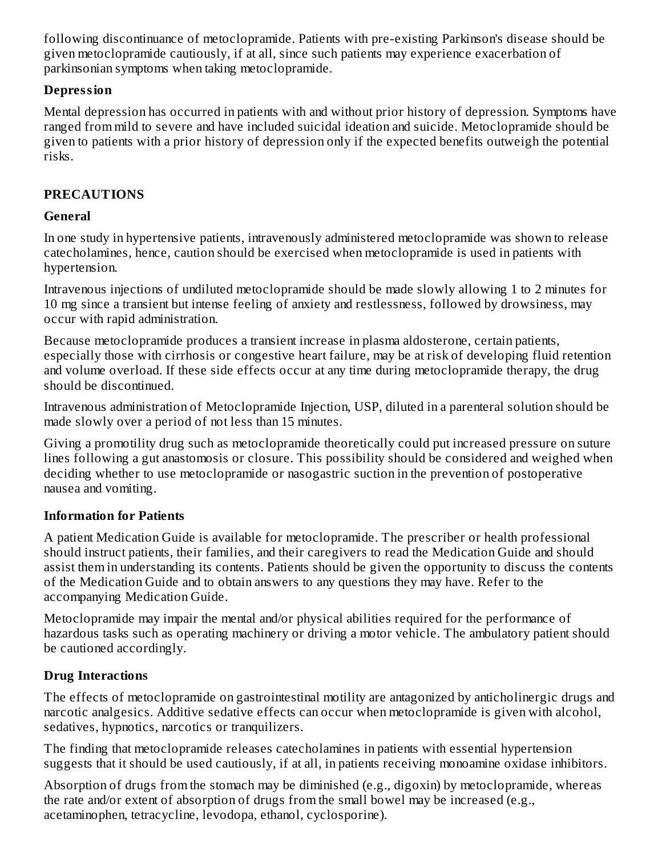following discontinuance of metoclopramide. Patients with pre-existing Parkinson's disease should be given metoclopramide cautiously, if at all, since such patients may experience exacerbation of parkinsonian symptoms when taking metoclopramide.

### **Depression**

Mental depression has occurred in patients with and without prior history of depression. Symptoms have ranged from mild to severe and have included suicidal ideation and suicide. Metoclopramide should be given to patients with a prior history of depression only if the expected benefits outweigh the potential risks.

### **PRECAUTIONS**

## **General**

In one study in hypertensive patients, intravenously administered metoclopramide was shown to release catecholamines, hence, caution should be exercised when metoclopramide is used in patients with hypertension.

Intravenous injections of undiluted metoclopramide should be made slowly allowing 1 to 2 minutes for 10 mg since a transient but intense feeling of anxiety and restlessness, followed by drowsiness, may occur with rapid administration.

Because metoclopramide produces a transient increase in plasma aldosterone, certain patients, especially those with cirrhosis or congestive heart failure, may be at risk of developing fluid retention and volume overload. If these side effects occur at any time during metoclopramide therapy, the drug should be discontinued.

Intravenous administration of Metoclopramide Injection, USP, diluted in a parenteral solution should be made slowly over a period of not less than 15 minutes.

Giving a promotility drug such as metoclopramide theoretically could put increased pressure on suture lines following a gut anastomosis or closure. This possibility should be considered and weighed when deciding whether to use metoclopramide or nasogastric suction in the prevention of postoperative nausea and vomiting.

### **Information for Patients**

A patient Medication Guide is available for metoclopramide. The prescriber or health professional should instruct patients, their families, and their caregivers to read the Medication Guide and should assist them in understanding its contents. Patients should be given the opportunity to discuss the contents of the Medication Guide and to obtain answers to any questions they may have. Refer to the accompanying Medication Guide.

Metoclopramide may impair the mental and/or physical abilities required for the performance of hazardous tasks such as operating machinery or driving a motor vehicle. The ambulatory patient should be cautioned accordingly.

## **Drug Interactions**

The effects of metoclopramide on gastrointestinal motility are antagonized by anticholinergic drugs and narcotic analgesics. Additive sedative effects can occur when metoclopramide is given with alcohol, sedatives, hypnotics, narcotics or tranquilizers.

The finding that metoclopramide releases catecholamines in patients with essential hypertension suggests that it should be used cautiously, if at all, in patients receiving monoamine oxidase inhibitors.

Absorption of drugs from the stomach may be diminished (e.g., digoxin) by metoclopramide, whereas the rate and/or extent of absorption of drugs from the small bowel may be increased (e.g., acetaminophen, tetracycline, levodopa, ethanol, cyclosporine).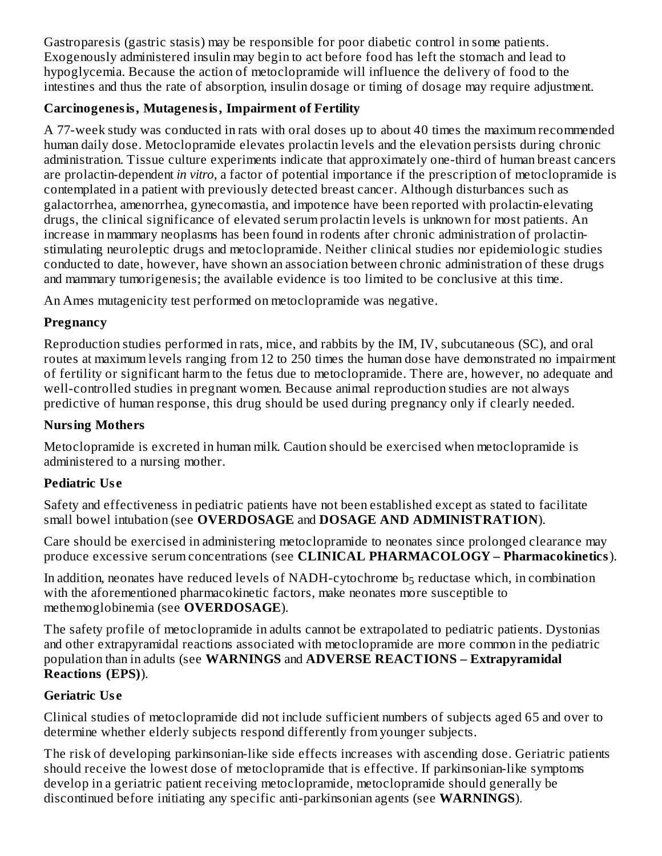Gastroparesis (gastric stasis) may be responsible for poor diabetic control in some patients. Exogenously administered insulin may begin to act before food has left the stomach and lead to hypoglycemia. Because the action of metoclopramide will influence the delivery of food to the intestines and thus the rate of absorption, insulin dosage or timing of dosage may require adjustment.

## **Carcinogenesis, Mutagenesis, Impairment of Fertility**

A 77-week study was conducted in rats with oral doses up to about 40 times the maximum recommended human daily dose. Metoclopramide elevates prolactin levels and the elevation persists during chronic administration. Tissue culture experiments indicate that approximately one-third of human breast cancers are prolactin-dependent *in vitro*, a factor of potential importance if the prescription of metoclopramide is contemplated in a patient with previously detected breast cancer. Although disturbances such as galactorrhea, amenorrhea, gynecomastia, and impotence have been reported with prolactin-elevating drugs, the clinical significance of elevated serum prolactin levels is unknown for most patients. An increase in mammary neoplasms has been found in rodents after chronic administration of prolactinstimulating neuroleptic drugs and metoclopramide. Neither clinical studies nor epidemiologic studies conducted to date, however, have shown an association between chronic administration of these drugs and mammary tumorigenesis; the available evidence is too limited to be conclusive at this time.

An Ames mutagenicity test performed on metoclopramide was negative.

## **Pregnancy**

Reproduction studies performed in rats, mice, and rabbits by the IM, IV, subcutaneous (SC), and oral routes at maximum levels ranging from 12 to 250 times the human dose have demonstrated no impairment of fertility or significant harm to the fetus due to metoclopramide. There are, however, no adequate and well-controlled studies in pregnant women. Because animal reproduction studies are not always predictive of human response, this drug should be used during pregnancy only if clearly needed.

## **Nursing Mothers**

Metoclopramide is excreted in human milk. Caution should be exercised when metoclopramide is administered to a nursing mother.

# **Pediatric Us e**

Safety and effectiveness in pediatric patients have not been established except as stated to facilitate small bowel intubation (see **OVERDOSAGE** and **DOSAGE AND ADMINISTRATION**).

Care should be exercised in administering metoclopramide to neonates since prolonged clearance may produce excessive serum concentrations (see **CLINICAL PHARMACOLOGY – Pharmacokinetics**).

In addition, neonates have reduced levels of NADH-cytochrome  $\mathbf{b}_5$  reductase which, in combination with the aforementioned pharmacokinetic factors, make neonates more susceptible to methemoglobinemia (see **OVERDOSAGE**).

The safety profile of metoclopramide in adults cannot be extrapolated to pediatric patients. Dystonias and other extrapyramidal reactions associated with metoclopramide are more common in the pediatric population than in adults (see **WARNINGS** and **ADVERSE REACTIONS – Extrapyramidal Reactions (EPS)**).

# **Geriatric Us e**

Clinical studies of metoclopramide did not include sufficient numbers of subjects aged 65 and over to determine whether elderly subjects respond differently from younger subjects.

The risk of developing parkinsonian-like side effects increases with ascending dose. Geriatric patients should receive the lowest dose of metoclopramide that is effective. If parkinsonian-like symptoms develop in a geriatric patient receiving metoclopramide, metoclopramide should generally be discontinued before initiating any specific anti-parkinsonian agents (see **WARNINGS**).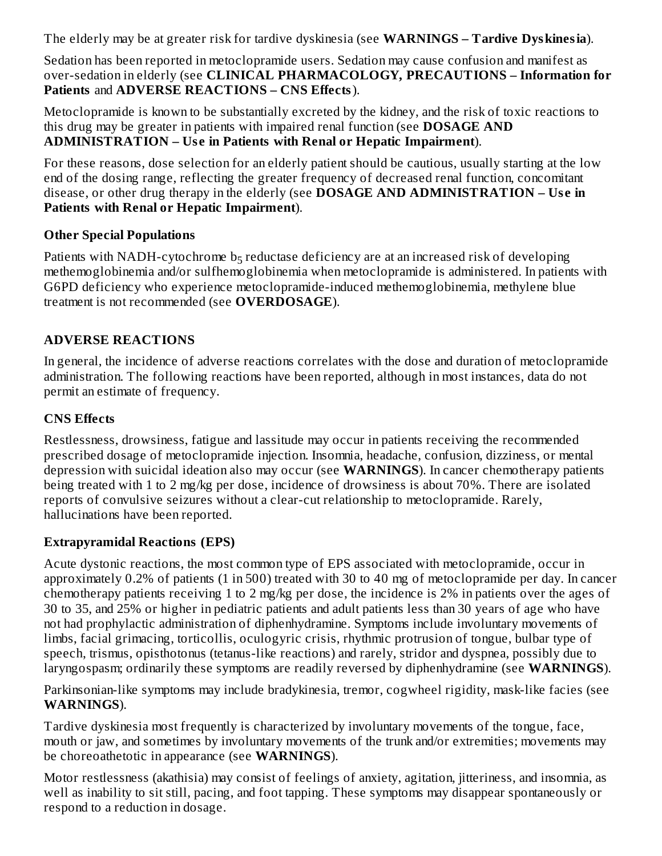The elderly may be at greater risk for tardive dyskinesia (see **WARNINGS – Tardive Dyskinesia**).

Sedation has been reported in metoclopramide users. Sedation may cause confusion and manifest as over-sedation in elderly (see **CLINICAL PHARMACOLOGY, PRECAUTIONS – Information for Patients** and **ADVERSE REACTIONS – CNS Effects**).

Metoclopramide is known to be substantially excreted by the kidney, and the risk of toxic reactions to this drug may be greater in patients with impaired renal function (see **DOSAGE AND ADMINISTRATION – Us e in Patients with Renal or Hepatic Impairment**).

For these reasons, dose selection for an elderly patient should be cautious, usually starting at the low end of the dosing range, reflecting the greater frequency of decreased renal function, concomitant disease, or other drug therapy in the elderly (see **DOSAGE AND ADMINISTRATION – Us e in Patients with Renal or Hepatic Impairment**).

### **Other Special Populations**

Patients with NADH-cytochrome  $\mathbf{b}_5$  reductase deficiency are at an increased risk of developing methemoglobinemia and/or sulfhemoglobinemia when metoclopramide is administered. In patients with G6PD deficiency who experience metoclopramide-induced methemoglobinemia, methylene blue treatment is not recommended (see **OVERDOSAGE**).

## **ADVERSE REACTIONS**

In general, the incidence of adverse reactions correlates with the dose and duration of metoclopramide administration. The following reactions have been reported, although in most instances, data do not permit an estimate of frequency.

## **CNS Effects**

Restlessness, drowsiness, fatigue and lassitude may occur in patients receiving the recommended prescribed dosage of metoclopramide injection. Insomnia, headache, confusion, dizziness, or mental depression with suicidal ideation also may occur (see **WARNINGS**). In cancer chemotherapy patients being treated with 1 to 2 mg/kg per dose, incidence of drowsiness is about 70%. There are isolated reports of convulsive seizures without a clear-cut relationship to metoclopramide. Rarely, hallucinations have been reported.

## **Extrapyramidal Reactions (EPS)**

Acute dystonic reactions, the most common type of EPS associated with metoclopramide, occur in approximately 0.2% of patients (1 in 500) treated with 30 to 40 mg of metoclopramide per day. In cancer chemotherapy patients receiving 1 to 2 mg/kg per dose, the incidence is 2% in patients over the ages of 30 to 35, and 25% or higher in pediatric patients and adult patients less than 30 years of age who have not had prophylactic administration of diphenhydramine. Symptoms include involuntary movements of limbs, facial grimacing, torticollis, oculogyric crisis, rhythmic protrusion of tongue, bulbar type of speech, trismus, opisthotonus (tetanus-like reactions) and rarely, stridor and dyspnea, possibly due to laryngospasm; ordinarily these symptoms are readily reversed by diphenhydramine (see **WARNINGS**).

Parkinsonian-like symptoms may include bradykinesia, tremor, cogwheel rigidity, mask-like facies (see **WARNINGS**).

Tardive dyskinesia most frequently is characterized by involuntary movements of the tongue, face, mouth or jaw, and sometimes by involuntary movements of the trunk and/or extremities; movements may be choreoathetotic in appearance (see **WARNINGS**).

Motor restlessness (akathisia) may consist of feelings of anxiety, agitation, jitteriness, and insomnia, as well as inability to sit still, pacing, and foot tapping. These symptoms may disappear spontaneously or respond to a reduction in dosage.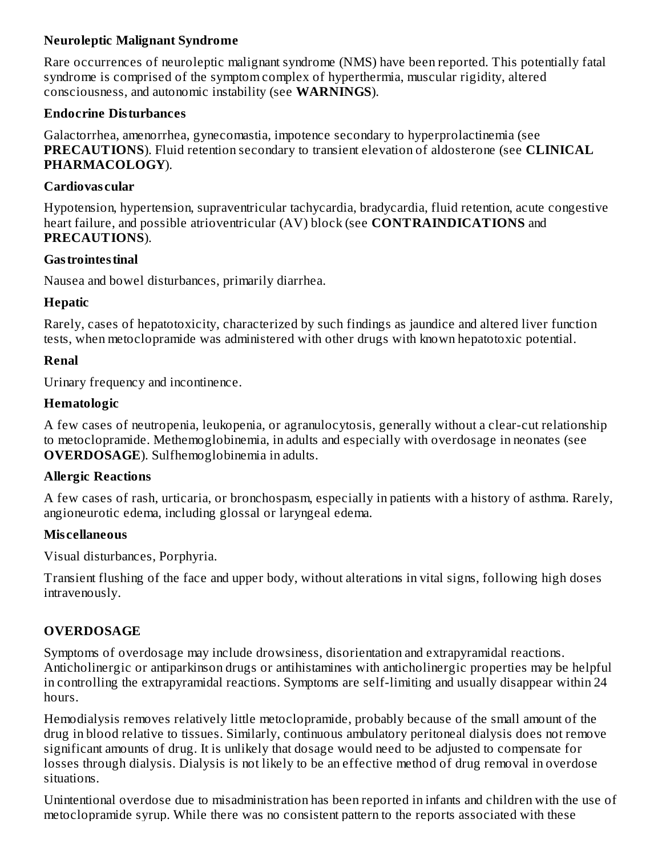### **Neuroleptic Malignant Syndrome**

Rare occurrences of neuroleptic malignant syndrome (NMS) have been reported. This potentially fatal syndrome is comprised of the symptom complex of hyperthermia, muscular rigidity, altered consciousness, and autonomic instability (see **WARNINGS**).

#### **Endocrine Disturbances**

Galactorrhea, amenorrhea, gynecomastia, impotence secondary to hyperprolactinemia (see **PRECAUTIONS**). Fluid retention secondary to transient elevation of aldosterone (see **CLINICAL PHARMACOLOGY**).

#### **Cardiovas cular**

Hypotension, hypertension, supraventricular tachycardia, bradycardia, fluid retention, acute congestive heart failure, and possible atrioventricular (AV) block (see **CONTRAINDICATIONS** and **PRECAUTIONS**).

#### **Gastrointestinal**

Nausea and bowel disturbances, primarily diarrhea.

### **Hepatic**

Rarely, cases of hepatotoxicity, characterized by such findings as jaundice and altered liver function tests, when metoclopramide was administered with other drugs with known hepatotoxic potential.

### **Renal**

Urinary frequency and incontinence.

### **Hematologic**

A few cases of neutropenia, leukopenia, or agranulocytosis, generally without a clear-cut relationship to metoclopramide. Methemoglobinemia, in adults and especially with overdosage in neonates (see **OVERDOSAGE**). Sulfhemoglobinemia in adults.

### **Allergic Reactions**

A few cases of rash, urticaria, or bronchospasm, especially in patients with a history of asthma. Rarely, angioneurotic edema, including glossal or laryngeal edema.

### **Mis cellaneous**

Visual disturbances, Porphyria.

Transient flushing of the face and upper body, without alterations in vital signs, following high doses intravenously.

### **OVERDOSAGE**

Symptoms of overdosage may include drowsiness, disorientation and extrapyramidal reactions. Anticholinergic or antiparkinson drugs or antihistamines with anticholinergic properties may be helpful in controlling the extrapyramidal reactions. Symptoms are self-limiting and usually disappear within 24 hours.

Hemodialysis removes relatively little metoclopramide, probably because of the small amount of the drug in blood relative to tissues. Similarly, continuous ambulatory peritoneal dialysis does not remove significant amounts of drug. It is unlikely that dosage would need to be adjusted to compensate for losses through dialysis. Dialysis is not likely to be an effective method of drug removal in overdose situations.

Unintentional overdose due to misadministration has been reported in infants and children with the use of metoclopramide syrup. While there was no consistent pattern to the reports associated with these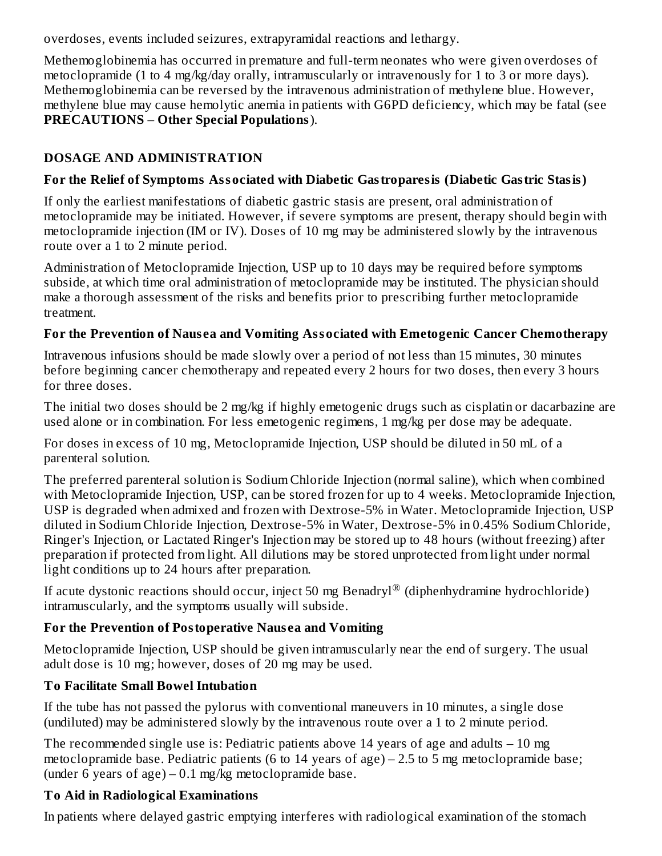overdoses, events included seizures, extrapyramidal reactions and lethargy.

Methemoglobinemia has occurred in premature and full-term neonates who were given overdoses of metoclopramide (1 to 4 mg/kg/day orally, intramuscularly or intravenously for 1 to 3 or more days). Methemoglobinemia can be reversed by the intravenous administration of methylene blue. However, methylene blue may cause hemolytic anemia in patients with G6PD deficiency, which may be fatal (see **PRECAUTIONS** – **Other Special Populations**).

## **DOSAGE AND ADMINISTRATION**

## **For the Relief of Symptoms Associated with Diabetic Gastroparesis (Diabetic Gastric Stasis)**

If only the earliest manifestations of diabetic gastric stasis are present, oral administration of metoclopramide may be initiated. However, if severe symptoms are present, therapy should begin with metoclopramide injection (IM or IV). Doses of 10 mg may be administered slowly by the intravenous route over a 1 to 2 minute period.

Administration of Metoclopramide Injection, USP up to 10 days may be required before symptoms subside, at which time oral administration of metoclopramide may be instituted. The physician should make a thorough assessment of the risks and benefits prior to prescribing further metoclopramide treatment.

## **For the Prevention of Naus ea and Vomiting Associated with Emetogenic Cancer Chemotherapy**

Intravenous infusions should be made slowly over a period of not less than 15 minutes, 30 minutes before beginning cancer chemotherapy and repeated every 2 hours for two doses, then every 3 hours for three doses.

The initial two doses should be 2 mg/kg if highly emetogenic drugs such as cisplatin or dacarbazine are used alone or in combination. For less emetogenic regimens, 1 mg/kg per dose may be adequate.

For doses in excess of 10 mg, Metoclopramide Injection, USP should be diluted in 50 mL of a parenteral solution.

The preferred parenteral solution is Sodium Chloride Injection (normal saline), which when combined with Metoclopramide Injection, USP, can be stored frozen for up to 4 weeks. Metoclopramide Injection, USP is degraded when admixed and frozen with Dextrose-5% in Water. Metoclopramide Injection, USP diluted in Sodium Chloride Injection, Dextrose-5% in Water, Dextrose-5% in 0.45% Sodium Chloride, Ringer's Injection, or Lactated Ringer's Injection may be stored up to 48 hours (without freezing) after preparation if protected from light. All dilutions may be stored unprotected from light under normal light conditions up to 24 hours after preparation.

If acute dystonic reactions should occur, inject 50 mg Benadryl $^{\circledR}$  (diphenhydramine hydrochloride) intramuscularly, and the symptoms usually will subside.

## **For the Prevention of Postoperative Naus ea and Vomiting**

Metoclopramide Injection, USP should be given intramuscularly near the end of surgery. The usual adult dose is 10 mg; however, doses of 20 mg may be used.

## **To Facilitate Small Bowel Intubation**

If the tube has not passed the pylorus with conventional maneuvers in 10 minutes, a single dose (undiluted) may be administered slowly by the intravenous route over a 1 to 2 minute period.

The recommended single use is: Pediatric patients above 14 years of age and adults  $-10$  mg metoclopramide base. Pediatric patients (6 to 14 years of age) – 2.5 to 5 mg metoclopramide base; (under 6 years of age)  $-0.1$  mg/kg metoclopramide base.

## **To Aid in Radiological Examinations**

In patients where delayed gastric emptying interferes with radiological examination of the stomach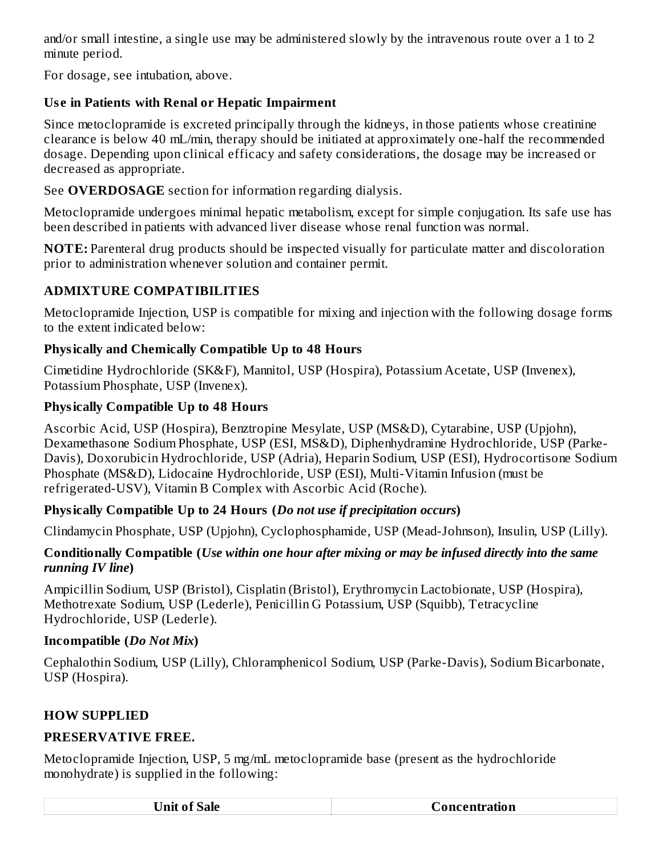and/or small intestine, a single use may be administered slowly by the intravenous route over a 1 to 2 minute period.

For dosage, see intubation, above.

## **Us e in Patients with Renal or Hepatic Impairment**

Since metoclopramide is excreted principally through the kidneys, in those patients whose creatinine clearance is below 40 mL/min, therapy should be initiated at approximately one-half the recommended dosage. Depending upon clinical efficacy and safety considerations, the dosage may be increased or decreased as appropriate.

See **OVERDOSAGE** section for information regarding dialysis.

Metoclopramide undergoes minimal hepatic metabolism, except for simple conjugation. Its safe use has been described in patients with advanced liver disease whose renal function was normal.

**NOTE:** Parenteral drug products should be inspected visually for particulate matter and discoloration prior to administration whenever solution and container permit.

## **ADMIXTURE COMPATIBILITIES**

Metoclopramide Injection, USP is compatible for mixing and injection with the following dosage forms to the extent indicated below:

## **Physically and Chemically Compatible Up to 48 Hours**

Cimetidine Hydrochloride (SK&F), Mannitol, USP (Hospira), Potassium Acetate, USP (Invenex), Potassium Phosphate, USP (Invenex).

## **Physically Compatible Up to 48 Hours**

Ascorbic Acid, USP (Hospira), Benztropine Mesylate, USP (MS&D), Cytarabine, USP (Upjohn), Dexamethasone Sodium Phosphate, USP (ESI, MS&D), Diphenhydramine Hydrochloride, USP (Parke-Davis), Doxorubicin Hydrochloride, USP (Adria), Heparin Sodium, USP (ESI), Hydrocortisone Sodium Phosphate (MS&D), Lidocaine Hydrochloride, USP (ESI), Multi-Vitamin Infusion (must be refrigerated-USV), Vitamin B Complex with Ascorbic Acid (Roche).

## **Physically Compatible Up to 24 Hours (***Do not use if precipitation occurs***)**

Clindamycin Phosphate, USP (Upjohn), Cyclophosphamide, USP (Mead-Johnson), Insulin, USP (Lilly).

### **Conditionally Compatible (***Use within one hour after mixing or may be infused directly into the same running IV line***)**

Ampicillin Sodium, USP (Bristol), Cisplatin (Bristol), Erythromycin Lactobionate, USP (Hospira), Methotrexate Sodium, USP (Lederle), Penicillin G Potassium, USP (Squibb), Tetracycline Hydrochloride, USP (Lederle).

## **Incompatible (***Do Not Mix***)**

Cephalothin Sodium, USP (Lilly), Chloramphenicol Sodium, USP (Parke-Davis), Sodium Bicarbonate, USP (Hospira).

## **HOW SUPPLIED**

## **PRESERVATIVE FREE.**

Metoclopramide Injection, USP, 5 mg/mL metoclopramide base (present as the hydrochloride monohydrate) is supplied in the following: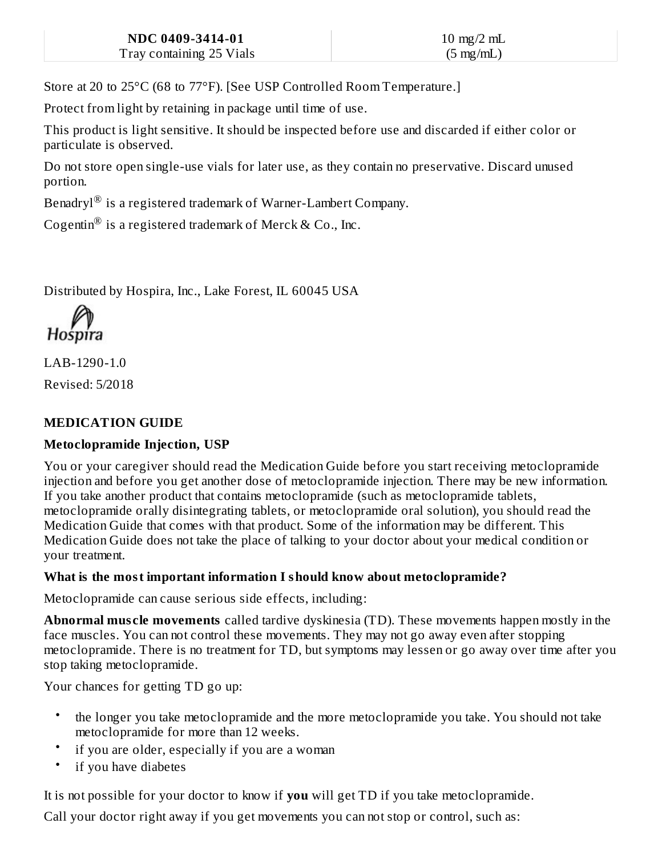Store at 20 to 25°C (68 to 77°F). [See USP Controlled Room Temperature.]

Protect from light by retaining in package until time of use.

This product is light sensitive. It should be inspected before use and discarded if either color or particulate is observed.

Do not store open single-use vials for later use, as they contain no preservative. Discard unused portion.

Benadryl $^{\circledR}$  is a registered trademark of Warner-Lambert Company.

Cogentin $^{\circledR}$  is a registered trademark of Merck & Co., Inc.

Distributed by Hospira, Inc., Lake Forest, IL 60045 USA

Hospira

LAB-1290-1.0 Revised: 5/2018

# **MEDICATION GUIDE**

## **Metoclopramide Injection, USP**

You or your caregiver should read the Medication Guide before you start receiving metoclopramide injection and before you get another dose of metoclopramide injection. There may be new information. If you take another product that contains metoclopramide (such as metoclopramide tablets, metoclopramide orally disintegrating tablets, or metoclopramide oral solution), you should read the Medication Guide that comes with that product. Some of the information may be different. This Medication Guide does not take the place of talking to your doctor about your medical condition or your treatment.

## **What is the most important information I should know about metoclopramide?**

Metoclopramide can cause serious side effects, including:

**Abnormal mus cle movements** called tardive dyskinesia (TD). These movements happen mostly in the face muscles. You can not control these movements. They may not go away even after stopping metoclopramide. There is no treatment for TD, but symptoms may lessen or go away over time after you stop taking metoclopramide.

Your chances for getting TD go up:

- the longer you take metoclopramide and the more metoclopramide you take. You should not take metoclopramide for more than 12 weeks.
- if you are older, especially if you are a woman
- if you have diabetes

It is not possible for your doctor to know if **you** will get TD if you take metoclopramide.

Call your doctor right away if you get movements you can not stop or control, such as: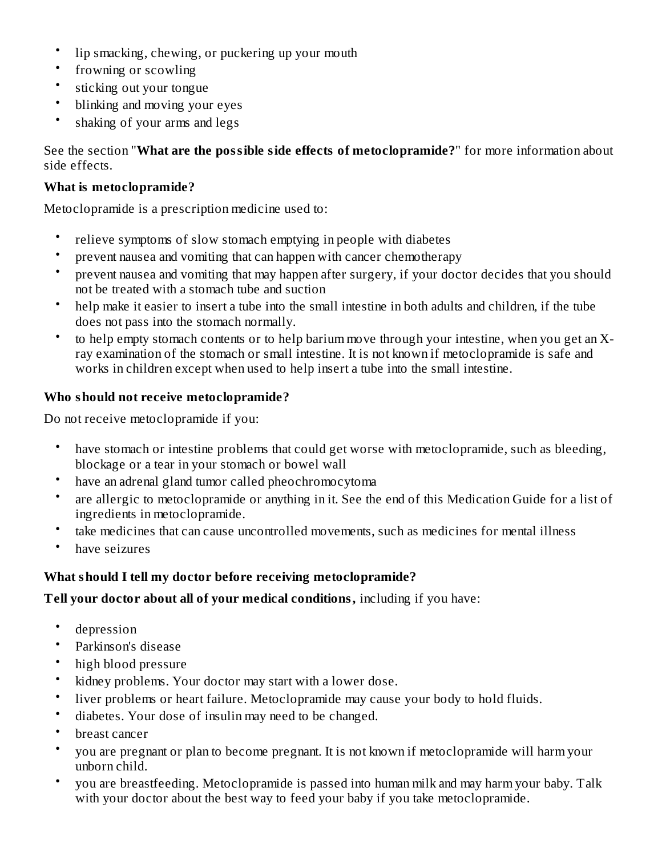- lip smacking, chewing, or puckering up your mouth
- frowning or scowling
- sticking out your tongue
- blinking and moving your eyes
- shaking of your arms and legs

See the section "**What are the possible side effects of metoclopramide?**" for more information about side effects.

### **What is metoclopramide?**

Metoclopramide is a prescription medicine used to:

- relieve symptoms of slow stomach emptying in people with diabetes
- prevent nausea and vomiting that can happen with cancer chemotherapy
- prevent nausea and vomiting that may happen after surgery, if your doctor decides that you should not be treated with a stomach tube and suction
- help make it easier to insert a tube into the small intestine in both adults and children, if the tube does not pass into the stomach normally.
- to help empty stomach contents or to help barium move through your intestine, when you get an Xray examination of the stomach or small intestine. It is not known if metoclopramide is safe and works in children except when used to help insert a tube into the small intestine.

### **Who should not receive metoclopramide?**

Do not receive metoclopramide if you:

- have stomach or intestine problems that could get worse with metoclopramide, such as bleeding, blockage or a tear in your stomach or bowel wall
- have an adrenal gland tumor called pheochromocytoma
- are allergic to metoclopramide or anything in it. See the end of this Medication Guide for a list of ingredients in metoclopramide.
- take medicines that can cause uncontrolled movements, such as medicines for mental illness
- have seizures

## **What should I tell my doctor before receiving metoclopramide?**

### **Tell your doctor about all of your medical conditions,** including if you have:

- depression
- Parkinson's disease
- high blood pressure
- kidney problems. Your doctor may start with a lower dose.
- liver problems or heart failure. Metoclopramide may cause your body to hold fluids.
- diabetes. Your dose of insulin may need to be changed.
- breast cancer
- you are pregnant or plan to become pregnant. It is not known if metoclopramide will harm your unborn child.
- you are breastfeeding. Metoclopramide is passed into human milk and may harm your baby. Talk with your doctor about the best way to feed your baby if you take metoclopramide.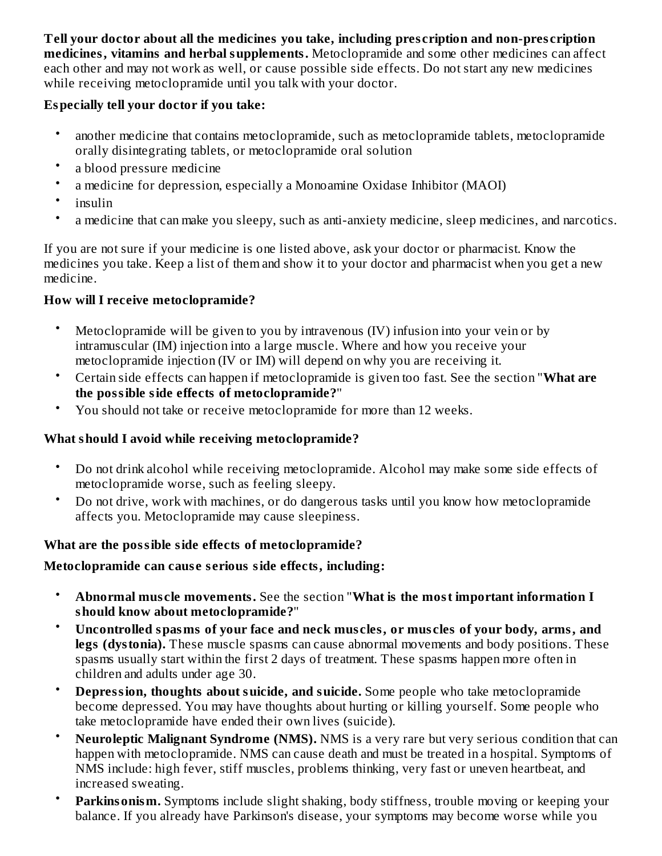**Tell your doctor about all the medicines you take, including pres cription and non-pres cription medicines, vitamins and herbal supplements.** Metoclopramide and some other medicines can affect each other and may not work as well, or cause possible side effects. Do not start any new medicines while receiving metoclopramide until you talk with your doctor.

## **Especially tell your doctor if you take:**

- another medicine that contains metoclopramide, such as metoclopramide tablets, metoclopramide orally disintegrating tablets, or metoclopramide oral solution
- a blood pressure medicine
- a medicine for depression, especially a Monoamine Oxidase Inhibitor (MAOI)
- insulin
- a medicine that can make you sleepy, such as anti-anxiety medicine, sleep medicines, and narcotics.

If you are not sure if your medicine is one listed above, ask your doctor or pharmacist. Know the medicines you take. Keep a list of them and show it to your doctor and pharmacist when you get a new medicine.

### **How will I receive metoclopramide?**

- Metoclopramide will be given to you by intravenous (IV) infusion into your vein or by intramuscular (IM) injection into a large muscle. Where and how you receive your metoclopramide injection (IV or IM) will depend on why you are receiving it.
- Certain side effects can happen if metoclopramide is given too fast. See the section "**What are the possible side effects of metoclopramide?**"
- You should not take or receive metoclopramide for more than 12 weeks.

## **What should I avoid while receiving metoclopramide?**

- Do not drink alcohol while receiving metoclopramide. Alcohol may make some side effects of metoclopramide worse, such as feeling sleepy.
- Do not drive, work with machines, or do dangerous tasks until you know how metoclopramide affects you. Metoclopramide may cause sleepiness.

## **What are the possible side effects of metoclopramide?**

## **Metoclopramide can caus e s erious side effects, including:**

- **Abnormal mus cle movements.** See the section "**What is the most important information I should know about metoclopramide?**"
- **Uncontrolled spasms of your face and neck mus cles, or mus cles of your body, arms, and legs (dystonia).** These muscle spasms can cause abnormal movements and body positions. These spasms usually start within the first 2 days of treatment. These spasms happen more often in children and adults under age 30.
- **Depression, thoughts about suicide, and suicide.** Some people who take metoclopramide become depressed. You may have thoughts about hurting or killing yourself. Some people who take metoclopramide have ended their own lives (suicide).
- **Neuroleptic Malignant Syndrome (NMS).** NMS is a very rare but very serious condition that can happen with metoclopramide. NMS can cause death and must be treated in a hospital. Symptoms of NMS include: high fever, stiff muscles, problems thinking, very fast or uneven heartbeat, and increased sweating.
- **Parkinsonism.** Symptoms include slight shaking, body stiffness, trouble moving or keeping your balance. If you already have Parkinson's disease, your symptoms may become worse while you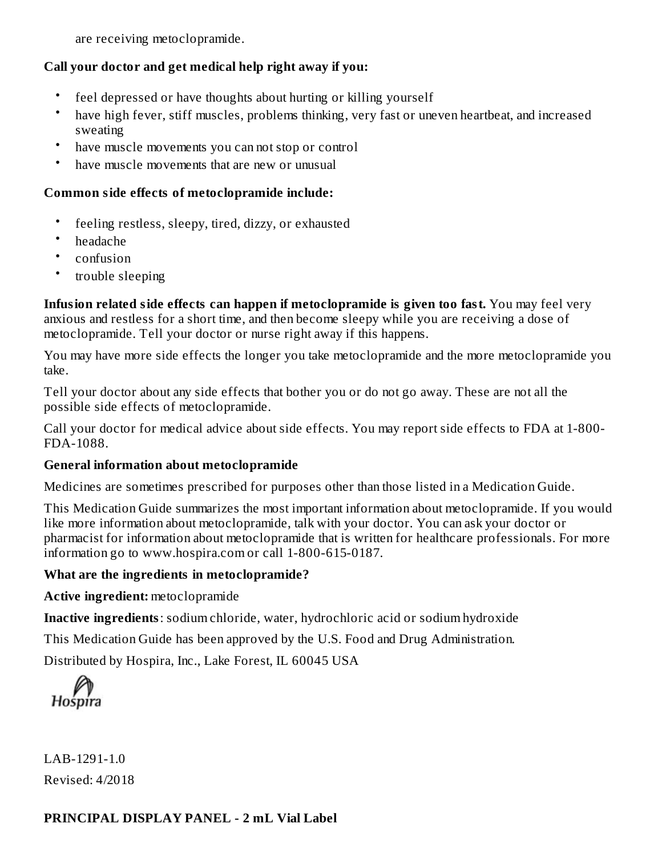are receiving metoclopramide.

### **Call your doctor and get medical help right away if you:**

- feel depressed or have thoughts about hurting or killing yourself
- have high fever, stiff muscles, problems thinking, very fast or uneven heartbeat, and increased sweating
- have muscle movements you can not stop or control
- have muscle movements that are new or unusual

### **Common side effects of metoclopramide include:**

- feeling restless, sleepy, tired, dizzy, or exhausted
- headache
- confusion
- trouble sleeping

**Infusion related side effects can happen if metoclopramide is given too fast.** You may feel very anxious and restless for a short time, and then become sleepy while you are receiving a dose of metoclopramide. Tell your doctor or nurse right away if this happens.

You may have more side effects the longer you take metoclopramide and the more metoclopramide you take.

Tell your doctor about any side effects that bother you or do not go away. These are not all the possible side effects of metoclopramide.

Call your doctor for medical advice about side effects. You may report side effects to FDA at 1-800- FDA-1088.

## **General information about metoclopramide**

Medicines are sometimes prescribed for purposes other than those listed in a Medication Guide.

This Medication Guide summarizes the most important information about metoclopramide. If you would like more information about metoclopramide, talk with your doctor. You can ask your doctor or pharmacist for information about metoclopramide that is written for healthcare professionals. For more information go to www.hospira.com or call 1-800-615-0187.

## **What are the ingredients in metoclopramide?**

**Active ingredient:** metoclopramide

**Inactive ingredients**: sodium chloride, water, hydrochloric acid or sodium hydroxide

This Medication Guide has been approved by the U.S. Food and Drug Administration.

Distributed by Hospira, Inc., Lake Forest, IL 60045 USA



LAB-1291-1.0 Revised: 4/2018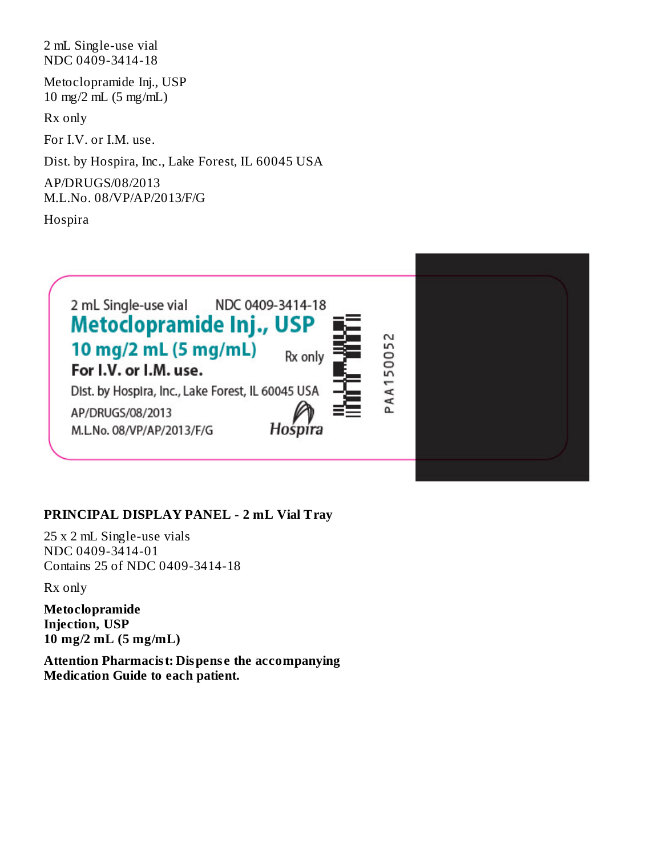2 mL Single-use vial NDC 0409-3414-18 Metoclopramide Inj., USP 10 mg/2 mL (5 mg/mL) Rx only For I.V. or I.M. use. Dist. by Hospira, Inc., Lake Forest, IL 60045 USA AP/DRUGS/08/2013 M.L.No. 08/VP/AP/2013/F/G Hospira



#### **PRINCIPAL DISPLAY PANEL - 2 mL Vial Tray**

25 x 2 mL Single-use vials NDC 0409-3414-01 Contains 25 of NDC 0409-3414-18

Rx only

**Metoclopramide Injection, USP 10 mg/2 mL (5 mg/mL)**

**Attention Pharmacist: Dispens e the accompanying Medication Guide to each patient.**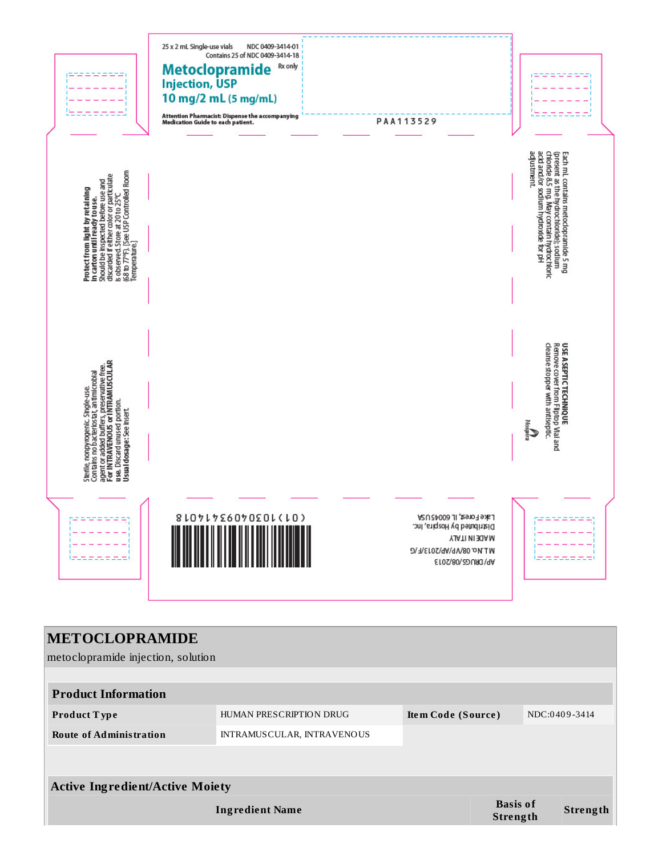

**Route of Administration INTRAMUSCULAR, INTRAVENOUS Active Ingredient/Active Moiety Ingredient Name Basis of Strength Strength**